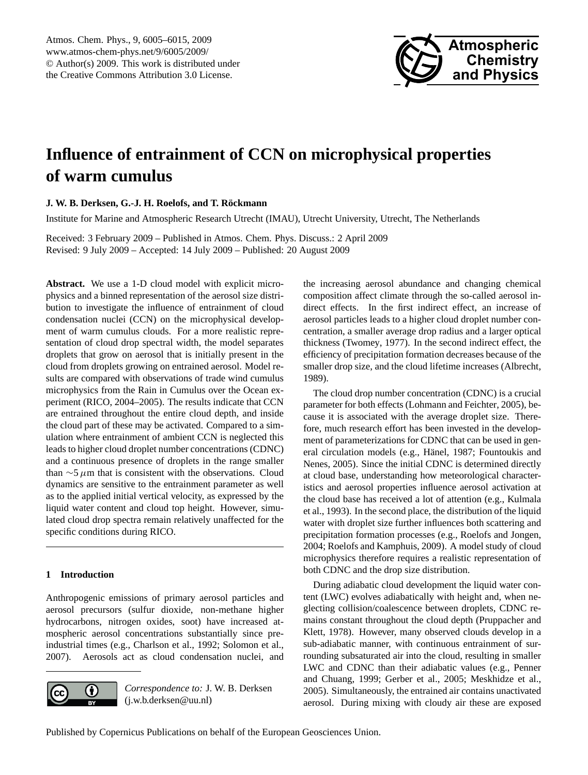

# <span id="page-0-0"></span>**Influence of entrainment of CCN on microphysical properties of warm cumulus**

## **J. W. B. Derksen, G.-J. H. Roelofs, and T. Rockmann ¨**

Institute for Marine and Atmospheric Research Utrecht (IMAU), Utrecht University, Utrecht, The Netherlands

Received: 3 February 2009 – Published in Atmos. Chem. Phys. Discuss.: 2 April 2009 Revised: 9 July 2009 – Accepted: 14 July 2009 – Published: 20 August 2009

**Abstract.** We use a 1-D cloud model with explicit microphysics and a binned representation of the aerosol size distribution to investigate the influence of entrainment of cloud condensation nuclei (CCN) on the microphysical development of warm cumulus clouds. For a more realistic representation of cloud drop spectral width, the model separates droplets that grow on aerosol that is initially present in the cloud from droplets growing on entrained aerosol. Model results are compared with observations of trade wind cumulus microphysics from the Rain in Cumulus over the Ocean experiment (RICO, 2004–2005). The results indicate that CCN are entrained throughout the entire cloud depth, and inside the cloud part of these may be activated. Compared to a simulation where entrainment of ambient CCN is neglected this leads to higher cloud droplet number concentrations (CDNC) and a continuous presence of droplets in the range smaller than  $\sim$ 5  $\mu$ m that is consistent with the observations. Cloud dynamics are sensitive to the entrainment parameter as well as to the applied initial vertical velocity, as expressed by the liquid water content and cloud top height. However, simulated cloud drop spectra remain relatively unaffected for the specific conditions during RICO.

## **1 Introduction**

Anthropogenic emissions of primary aerosol particles and aerosol precursors (sulfur dioxide, non-methane higher hydrocarbons, nitrogen oxides, soot) have increased atmospheric aerosol concentrations substantially since preindustrial times (e.g., [Charlson et al.,](#page-9-0) [1992;](#page-9-0) [Solomon et al.,](#page-10-0) [2007\)](#page-10-0). Aerosols act as cloud condensation nuclei, and



*Correspondence to:* J. W. B. Derksen (j.w.b.derksen@uu.nl)

the increasing aerosol abundance and changing chemical composition affect climate through the so-called aerosol indirect effects. In the first indirect effect, an increase of aerosol particles leads to a higher cloud droplet number concentration, a smaller average drop radius and a larger optical thickness [\(Twomey,](#page-10-1) [1977\)](#page-10-1). In the second indirect effect, the efficiency of precipitation formation decreases because of the smaller drop size, and the cloud lifetime increases [\(Albrecht,](#page-9-1) [1989\)](#page-9-1).

The cloud drop number concentration (CDNC) is a crucial parameter for both effects [\(Lohmann and Feichter,](#page-9-2) [2005\)](#page-9-2), because it is associated with the average droplet size. Therefore, much research effort has been invested in the development of parameterizations for CDNC that can be used in gen-eral circulation models (e.g., Hänel, [1987;](#page-9-3) [Fountoukis and](#page-9-4) [Nenes,](#page-9-4) [2005\)](#page-9-4). Since the initial CDNC is determined directly at cloud base, understanding how meteorological characteristics and aerosol properties influence aerosol activation at the cloud base has received a lot of attention (e.g., [Kulmala](#page-9-5) [et al.,](#page-9-5) [1993\)](#page-9-5). In the second place, the distribution of the liquid water with droplet size further influences both scattering and precipitation formation processes (e.g., [Roelofs and Jongen,](#page-10-2) [2004;](#page-10-2) [Roelofs and Kamphuis,](#page-10-3) [2009\)](#page-10-3). A model study of cloud microphysics therefore requires a realistic representation of both CDNC and the drop size distribution.

During adiabatic cloud development the liquid water content (LWC) evolves adiabatically with height and, when neglecting collision/coalescence between droplets, CDNC remains constant throughout the cloud depth [\(Pruppacher and](#page-10-4) [Klett,](#page-10-4) [1978\)](#page-10-4). However, many observed clouds develop in a sub-adiabatic manner, with continuous entrainment of surrounding subsaturated air into the cloud, resulting in smaller LWC and CDNC than their adiabatic values (e.g., [Penner](#page-10-5) [and Chuang,](#page-10-5) [1999;](#page-10-5) [Gerber et al.,](#page-9-6) [2005;](#page-9-6) [Meskhidze et al.,](#page-10-6) [2005\)](#page-10-6). Simultaneously, the entrained air contains unactivated aerosol. During mixing with cloudy air these are exposed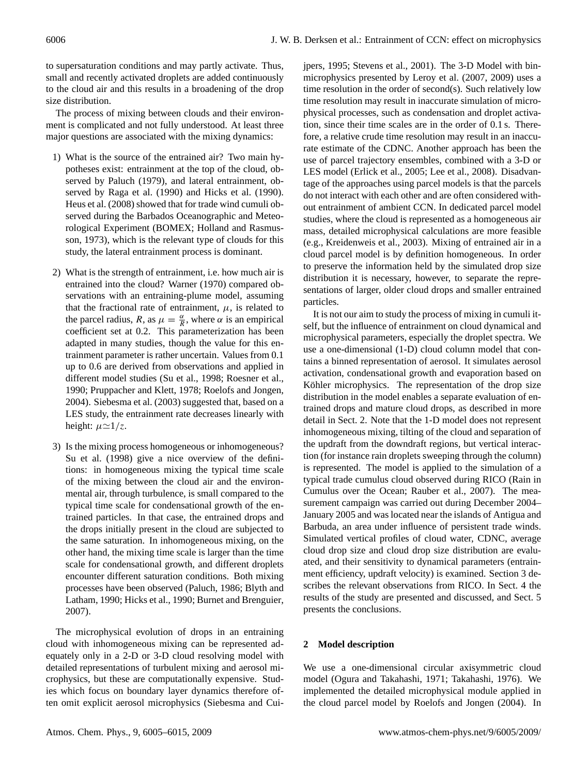to supersaturation conditions and may partly activate. Thus, small and recently activated droplets are added continuously to the cloud air and this results in a broadening of the drop size distribution.

The process of mixing between clouds and their environment is complicated and not fully understood. At least three major questions are associated with the mixing dynamics:

- 1) What is the source of the entrained air? Two main hypotheses exist: entrainment at the top of the cloud, observed by [Paluch](#page-10-7) [\(1979\)](#page-10-7), and lateral entrainment, observed by [Raga et al.](#page-10-8) [\(1990\)](#page-10-8) and [Hicks et al.](#page-9-7) [\(1990\)](#page-9-7). [Heus et al.](#page-9-8) [\(2008\)](#page-9-8) showed that for trade wind cumuli observed during the Barbados Oceanographic and Meteorological Experiment (BOMEX; [Holland and Rasmus](#page-9-9)[son,](#page-9-9) [1973\)](#page-9-9), which is the relevant type of clouds for this study, the lateral entrainment process is dominant.
- 2) What is the strength of entrainment, i.e. how much air is entrained into the cloud? [Warner](#page-10-9) [\(1970\)](#page-10-9) compared observations with an entraining-plume model, assuming that the fractional rate of entrainment,  $\mu$ , is related to the parcel radius,  $R$ , as  $\mu = \frac{\alpha}{R}$ , where  $\alpha$  is an empirical coefficient set at 0.2. This parameterization has been adapted in many studies, though the value for this entrainment parameter is rather uncertain. Values from 0.1 up to 0.6 are derived from observations and applied in different model studies [\(Su et al.,](#page-10-10) [1998;](#page-10-10) [Roesner et al.,](#page-10-11) [1990;](#page-10-11) [Pruppacher and Klett,](#page-10-4) [1978;](#page-10-4) [Roelofs and Jongen,](#page-10-2) [2004\)](#page-10-2). [Siebesma et al.](#page-10-12) [\(2003\)](#page-10-12) suggested that, based on a LES study, the entrainment rate decreases linearly with height:  $\mu \simeq 1/z$ .
- 3) Is the mixing process homogeneous or inhomogeneous? [Su et al.](#page-10-10) [\(1998\)](#page-10-10) give a nice overview of the definitions: in homogeneous mixing the typical time scale of the mixing between the cloud air and the environmental air, through turbulence, is small compared to the typical time scale for condensational growth of the entrained particles. In that case, the entrained drops and the drops initially present in the cloud are subjected to the same saturation. In inhomogeneous mixing, on the other hand, the mixing time scale is larger than the time scale for condensational growth, and different droplets encounter different saturation conditions. Both mixing processes have been observed [\(Paluch,](#page-10-13) [1986;](#page-10-13) [Blyth and](#page-9-10) [Latham,](#page-9-10) [1990;](#page-9-10) [Hicks et al.,](#page-9-7) [1990;](#page-9-7) [Burnet and Brenguier,](#page-9-11) [2007\)](#page-9-11).

The microphysical evolution of drops in an entraining cloud with inhomogeneous mixing can be represented adequately only in a 2-D or 3-D cloud resolving model with detailed representations of turbulent mixing and aerosol microphysics, but these are computationally expensive. Studies which focus on boundary layer dynamics therefore often omit explicit aerosol microphysics [\(Siebesma and Cui-](#page-10-14) [jpers,](#page-10-14) [1995;](#page-10-14) [Stevens et al.,](#page-10-15) [2001\)](#page-10-15). The 3-D Model with binmicrophysics presented by [Leroy et al.](#page-9-12) [\(2007,](#page-9-12) [2009\)](#page-9-13) uses a time resolution in the order of second(s). Such relatively low time resolution may result in inaccurate simulation of microphysical processes, such as condensation and droplet activation, since their time scales are in the order of 0.1 s. Therefore, a relative crude time resolution may result in an inaccurate estimate of the CDNC. Another approach has been the use of parcel trajectory ensembles, combined with a 3-D or LES model [\(Erlick et al.,](#page-9-14) [2005;](#page-9-14) [Lee et al.,](#page-9-15) [2008\)](#page-9-15). Disadvantage of the approaches using parcel models is that the parcels do not interact with each other and are often considered without entrainment of ambient CCN. In dedicated parcel model studies, where the cloud is represented as a homogeneous air mass, detailed microphysical calculations are more feasible (e.g., [Kreidenweis et al.,](#page-9-16) [2003\)](#page-9-16). Mixing of entrained air in a cloud parcel model is by definition homogeneous. In order to preserve the information held by the simulated drop size distribution it is necessary, however, to separate the representations of larger, older cloud drops and smaller entrained particles.

It is not our aim to study the process of mixing in cumuli itself, but the influence of entrainment on cloud dynamical and microphysical parameters, especially the droplet spectra. We use a one-dimensional (1-D) cloud column model that contains a binned representation of aerosol. It simulates aerosol activation, condensational growth and evaporation based on Köhler microphysics. The representation of the drop size distribution in the model enables a separate evaluation of entrained drops and mature cloud drops, as described in more detail in Sect. [2.](#page-1-0) Note that the 1-D model does not represent inhomogeneous mixing, tilting of the cloud and separation of the updraft from the downdraft regions, but vertical interaction (for instance rain droplets sweeping through the column) is represented. The model is applied to the simulation of a typical trade cumulus cloud observed during RICO (Rain in Cumulus over the Ocean; [Rauber et al.,](#page-10-16) [2007\)](#page-10-16). The measurement campaign was carried out during December 2004– January 2005 and was located near the islands of Antigua and Barbuda, an area under influence of persistent trade winds. Simulated vertical profiles of cloud water, CDNC, average cloud drop size and cloud drop size distribution are evaluated, and their sensitivity to dynamical parameters (entrainment efficiency, updraft velocity) is examined. Section [3](#page-2-0) describes the relevant observations from RICO. In Sect. [4](#page-3-0) the results of the study are presented and discussed, and Sect. [5](#page-8-0) presents the conclusions.

## <span id="page-1-0"></span>**2 Model description**

We use a one-dimensional circular axisymmetric cloud model [\(Ogura and Takahashi,](#page-10-17) [1971;](#page-10-17) [Takahashi,](#page-10-18) [1976\)](#page-10-18). We implemented the detailed microphysical module applied in the cloud parcel model by [Roelofs and Jongen](#page-10-2) [\(2004\)](#page-10-2). In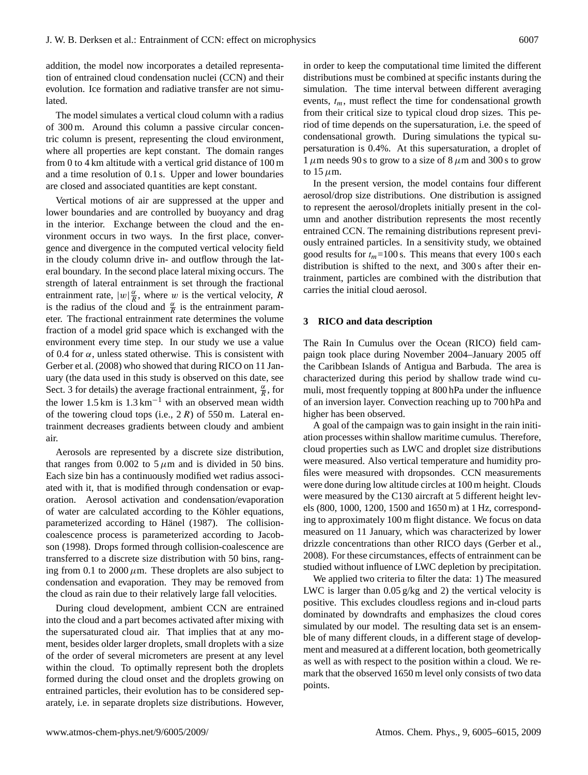addition, the model now incorporates a detailed representation of entrained cloud condensation nuclei (CCN) and their evolution. Ice formation and radiative transfer are not simulated.

The model simulates a vertical cloud column with a radius of 300 m. Around this column a passive circular concentric column is present, representing the cloud environment, where all properties are kept constant. The domain ranges from 0 to 4 km altitude with a vertical grid distance of 100 m and a time resolution of 0.1 s. Upper and lower boundaries are closed and associated quantities are kept constant.

Vertical motions of air are suppressed at the upper and lower boundaries and are controlled by buoyancy and drag in the interior. Exchange between the cloud and the environment occurs in two ways. In the first place, convergence and divergence in the computed vertical velocity field in the cloudy column drive in- and outflow through the lateral boundary. In the second place lateral mixing occurs. The strength of lateral entrainment is set through the fractional entrainment rate,  $|w| \frac{\alpha}{R}$ , where w is the vertical velocity, R is the radius of the cloud and  $\frac{\alpha}{R}$  is the entrainment parameter. The fractional entrainment rate determines the volume fraction of a model grid space which is exchanged with the environment every time step. In our study we use a value of 0.4 for  $\alpha$ , unless stated otherwise. This is consistent with [Gerber et al.](#page-9-17) [\(2008\)](#page-9-17) who showed that during RICO on 11 January (the data used in this study is observed on this date, see Sect. [3](#page-2-0) for details) the average fractional entrainment,  $\frac{\alpha}{R}$ , for the lower 1.5 km is  $1.3 \text{ km}^{-1}$  with an observed mean width of the towering cloud tops (i.e.,  $2R$ ) of 550 m. Lateral entrainment decreases gradients between cloudy and ambient air.

Aerosols are represented by a discrete size distribution, that ranges from 0.002 to  $5 \mu m$  and is divided in 50 bins. Each size bin has a continuously modified wet radius associated with it, that is modified through condensation or evaporation. Aerosol activation and condensation/evaporation of water are calculated according to the Köhler equations, parameterized according to Hänel [\(1987\)](#page-9-3). The collisioncoalescence process is parameterized according to [Jacob](#page-9-18)[son](#page-9-18) [\(1998\)](#page-9-18). Drops formed through collision-coalescence are transferred to a discrete size distribution with 50 bins, ranging from 0.1 to 2000  $\mu$ m. These droplets are also subject to condensation and evaporation. They may be removed from the cloud as rain due to their relatively large fall velocities.

During cloud development, ambient CCN are entrained into the cloud and a part becomes activated after mixing with the supersaturated cloud air. That implies that at any moment, besides older larger droplets, small droplets with a size of the order of several micrometers are present at any level within the cloud. To optimally represent both the droplets formed during the cloud onset and the droplets growing on entrained particles, their evolution has to be considered separately, i.e. in separate droplets size distributions. However, in order to keep the computational time limited the different distributions must be combined at specific instants during the simulation. The time interval between different averaging events,  $t_m$ , must reflect the time for condensational growth from their critical size to typical cloud drop sizes. This period of time depends on the supersaturation, i.e. the speed of condensational growth. During simulations the typical supersaturation is 0.4%. At this supersaturation, a droplet of 1  $\mu$ m needs 90 s to grow to a size of 8  $\mu$ m and 300 s to grow to 15  $\mu$ m.

In the present version, the model contains four different aerosol/drop size distributions. One distribution is assigned to represent the aerosol/droplets initially present in the column and another distribution represents the most recently entrained CCN. The remaining distributions represent previously entrained particles. In a sensitivity study, we obtained good results for  $t_m$ =100 s. This means that every 100 s each distribution is shifted to the next, and 300 s after their entrainment, particles are combined with the distribution that carries the initial cloud aerosol.

#### <span id="page-2-0"></span>**3 RICO and data description**

The Rain In Cumulus over the Ocean (RICO) field campaign took place during November 2004–January 2005 off the Caribbean Islands of Antigua and Barbuda. The area is characterized during this period by shallow trade wind cumuli, most frequently topping at 800 hPa under the influence of an inversion layer. Convection reaching up to 700 hPa and higher has been observed.

A goal of the campaign was to gain insight in the rain initiation processes within shallow maritime cumulus. Therefore, cloud properties such as LWC and droplet size distributions were measured. Also vertical temperature and humidity profiles were measured with dropsondes. CCN measurements were done during low altitude circles at 100 m height. Clouds were measured by the C130 aircraft at 5 different height levels (800, 1000, 1200, 1500 and 1650 m) at 1 Hz, corresponding to approximately 100 m flight distance. We focus on data measured on 11 January, which was characterized by lower drizzle concentrations than other RICO days [\(Gerber et al.,](#page-9-17) [2008\)](#page-9-17). For these circumstances, effects of entrainment can be studied without influence of LWC depletion by precipitation.

We applied two criteria to filter the data: 1) The measured LWC is larger than 0.05 g/kg and 2) the vertical velocity is positive. This excludes cloudless regions and in-cloud parts dominated by downdrafts and emphasizes the cloud cores simulated by our model. The resulting data set is an ensemble of many different clouds, in a different stage of development and measured at a different location, both geometrically as well as with respect to the position within a cloud. We remark that the observed 1650 m level only consists of two data points.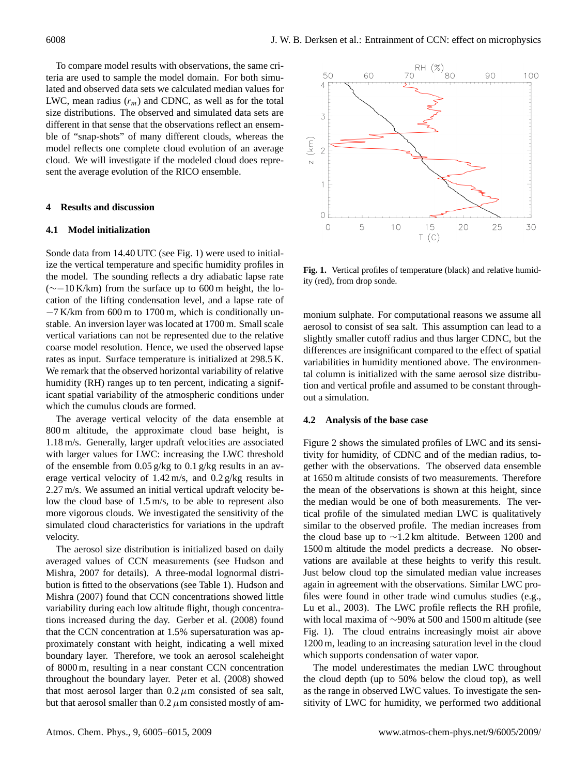To compare model results with observations, the same criteria are used to sample the model domain. For both simulated and observed data sets we calculated median values for LWC, mean radius  $(r_m)$  and CDNC, as well as for the total size distributions. The observed and simulated data sets are different in that sense that the observations reflect an ensemble of "snap-shots" of many different clouds, whereas the model reflects one complete cloud evolution of an average cloud. We will investigate if the modeled cloud does represent the average evolution of the RICO ensemble.

## <span id="page-3-0"></span>**4 Results and discussion**

#### **4.1 Model initialization**

Sonde data from 14.40 UTC (see Fig. [1\)](#page-3-1) were used to initialize the vertical temperature and specific humidity profiles in the model. The sounding reflects a dry adiabatic lapse rate (∼−10 K/km) from the surface up to 600 m height, the location of the lifting condensation level, and a lapse rate of −7 K/km from 600 m to 1700 m, which is conditionally unstable. An inversion layer was located at 1700 m. Small scale vertical variations can not be represented due to the relative coarse model resolution. Hence, we used the observed lapse rates as input. Surface temperature is initialized at 298.5 K. We remark that the observed horizontal variability of relative humidity (RH) ranges up to ten percent, indicating a significant spatial variability of the atmospheric conditions under which the cumulus clouds are formed.

The average vertical velocity of the data ensemble at 800 m altitude, the approximate cloud base height, is 1.18 m/s. Generally, larger updraft velocities are associated with larger values for LWC: increasing the LWC threshold of the ensemble from 0.05 g/kg to 0.1 g/kg results in an average vertical velocity of 1.42 m/s, and 0.2 g/kg results in 2.27 m/s. We assumed an initial vertical updraft velocity below the cloud base of 1.5 m/s, to be able to represent also more vigorous clouds. We investigated the sensitivity of the simulated cloud characteristics for variations in the updraft velocity.

The aerosol size distribution is initialized based on daily averaged values of CCN measurements (see [Hudson and](#page-9-19) [Mishra,](#page-9-19) [2007](#page-9-19) for details). A three-modal lognormal distribution is fitted to the observations (see Table [1\)](#page-4-0). [Hudson and](#page-9-19) [Mishra](#page-9-19) [\(2007\)](#page-9-19) found that CCN concentrations showed little variability during each low altitude flight, though concentrations increased during the day. [Gerber et al.](#page-9-17) [\(2008\)](#page-9-17) found that the CCN concentration at 1.5% supersaturation was approximately constant with height, indicating a well mixed boundary layer. Therefore, we took an aerosol scaleheight of 8000 m, resulting in a near constant CCN concentration throughout the boundary layer. [Peter et al.](#page-10-19) [\(2008\)](#page-10-19) showed that most aerosol larger than  $0.2 \mu$ m consisted of sea salt, but that aerosol smaller than  $0.2 \mu$ m consisted mostly of am-



<span id="page-3-1"></span>**Fig. 1.** Vertical profiles of temperature (black) and relative humidity (red), from drop sonde.

monium sulphate. For computational reasons we assume all aerosol to consist of sea salt. This assumption can lead to a slightly smaller cutoff radius and thus larger CDNC, but the differences are insignificant compared to the effect of spatial variabilities in humidity mentioned above. The environmental column is initialized with the same aerosol size distribution and vertical profile and assumed to be constant throughout a simulation.

#### **4.2 Analysis of the base case**

Figure [2](#page-4-1) shows the simulated profiles of LWC and its sensitivity for humidity, of CDNC and of the median radius, together with the observations. The observed data ensemble at 1650 m altitude consists of two measurements. Therefore the mean of the observations is shown at this height, since the median would be one of both measurements. The vertical profile of the simulated median LWC is qualitatively similar to the observed profile. The median increases from the cloud base up to ∼1.2 km altitude. Between 1200 and 1500 m altitude the model predicts a decrease. No observations are available at these heights to verify this result. Just below cloud top the simulated median value increases again in agreement with the observations. Similar LWC profiles were found in other trade wind cumulus studies (e.g., [Lu et al.,](#page-10-20) [2003\)](#page-10-20). The LWC profile reflects the RH profile, with local maxima of ∼90% at 500 and 1500 m altitude (see Fig. [1\)](#page-3-1). The cloud entrains increasingly moist air above 1200 m, leading to an increasing saturation level in the cloud which supports condensation of water vapor.

The model underestimates the median LWC throughout the cloud depth (up to 50% below the cloud top), as well as the range in observed LWC values. To investigate the sensitivity of LWC for humidity, we performed two additional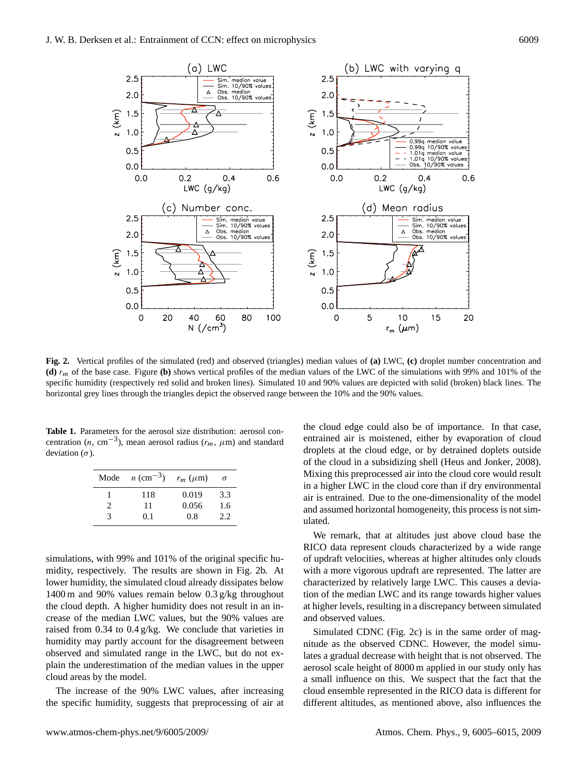

<span id="page-4-1"></span>**Fig. 2.** Vertical profiles of the simulated (red) and observed (triangles) median values of **(a)** LWC, **(c)** droplet number concentration and **(d)** rm of the base case. Figure **(b)** shows vertical profiles of the median values of the LWC of the simulations with 99% and 101% of the specific humidity (respectively red solid and broken lines). Simulated 10 and 90% values are depicted with solid (broken) black lines. The horizontal grey lines through the triangles depict the observed range between the 10% and the 90% values.

<span id="page-4-0"></span>**Table 1.** Parameters for the aerosol size distribution: aerosol concentration (*n*, cm<sup>-3</sup>), mean aerosol radius ( $r_m$ ,  $\mu$ m) and standard deviation  $(\sigma)$ .

| Mode | $n \, (cm^{-3})$ | $r_m$ ( $\mu$ m) | $\sigma$ |
|------|------------------|------------------|----------|
|      | 118              | 0.019            | 3.3      |
| 2    | 11               | 0.056            | 1.6      |
| 3    | 0.1              | 0.8              | 2.2.     |

simulations, with 99% and 101% of the original specific humidity, respectively. The results are shown in Fig. [2b](#page-4-1). At lower humidity, the simulated cloud already dissipates below 1400 m and 90% values remain below 0.3 g/kg throughout the cloud depth. A higher humidity does not result in an increase of the median LWC values, but the 90% values are raised from 0.34 to 0.4 g/kg. We conclude that varieties in humidity may partly account for the disagreement between observed and simulated range in the LWC, but do not explain the underestimation of the median values in the upper cloud areas by the model.

The increase of the 90% LWC values, after increasing the specific humidity, suggests that preprocessing of air at the cloud edge could also be of importance. In that case, entrained air is moistened, either by evaporation of cloud droplets at the cloud edge, or by detrained doplets outside of the cloud in a subsidizing shell [\(Heus and Jonker,](#page-9-20) [2008\)](#page-9-20). Mixing this preprocessed air into the cloud core would result in a higher LWC in the cloud core than if dry environmental air is entrained. Due to the one-dimensionality of the model and assumed horizontal homogeneity, this process is not simulated.

We remark, that at altitudes just above cloud base the RICO data represent clouds characterized by a wide range of updraft velocities, whereas at higher altitudes only clouds with a more vigorous updraft are represented. The latter are characterized by relatively large LWC. This causes a deviation of the median LWC and its range towards higher values at higher levels, resulting in a discrepancy between simulated and observed values.

Simulated CDNC (Fig. [2c](#page-4-1)) is in the same order of magnitude as the observed CDNC. However, the model simulates a gradual decrease with height that is not observed. The aerosol scale height of 8000 m applied in our study only has a small influence on this. We suspect that the fact that the cloud ensemble represented in the RICO data is different for different altitudes, as mentioned above, also influences the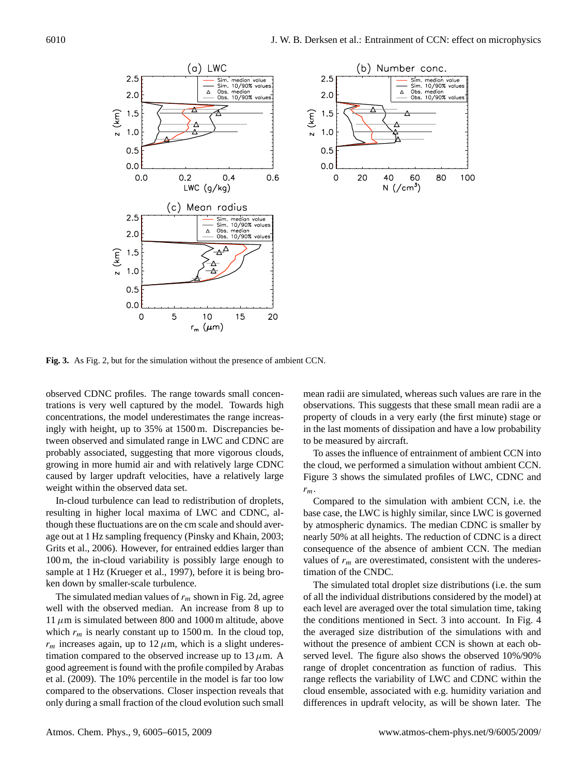

<span id="page-5-0"></span>**Fig. 3.** As Fig. [2,](#page-4-1) but for the simulation without the presence of ambient CCN.

observed CDNC profiles. The range towards small concentrations is very well captured by the model. Towards high concentrations, the model underestimates the range increasingly with height, up to 35% at 1500 m. Discrepancies between observed and simulated range in LWC and CDNC are probably associated, suggesting that more vigorous clouds, growing in more humid air and with relatively large CDNC caused by larger updraft velocities, have a relatively large weight within the observed data set.

In-cloud turbulence can lead to redistribution of droplets, resulting in higher local maxima of LWC and CDNC, although these fluctuations are on the cm scale and should average out at 1 Hz sampling frequency [\(Pinsky and Khain,](#page-10-21) [2003;](#page-10-21) [Grits et al.,](#page-9-21) [2006\)](#page-9-21). However, for entrained eddies larger than 100 m, the in-cloud variability is possibly large enough to sample at 1 Hz [\(Krueger et al.,](#page-9-22) [1997\)](#page-9-22), before it is being broken down by smaller-scale turbulence.

The simulated median values of  $r_m$  shown in Fig. [2d](#page-4-1), agree well with the observed median. An increase from 8 up to 11  $\mu$ m is simulated between 800 and 1000 m altitude, above which  $r_m$  is nearly constant up to 1500 m. In the cloud top,  $r_m$  increases again, up to 12  $\mu$ m, which is a slight underestimation compared to the observed increase up to  $13 \mu$ m. A good agreement is found with the profile compiled by [Arabas](#page-9-23) [et al.](#page-9-23) [\(2009\)](#page-9-23). The 10% percentile in the model is far too low compared to the observations. Closer inspection reveals that only during a small fraction of the cloud evolution such small mean radii are simulated, whereas such values are rare in the observations. This suggests that these small mean radii are a property of clouds in a very early (the first minute) stage or in the last moments of dissipation and have a low probability to be measured by aircraft.

To asses the influence of entrainment of ambient CCN into the cloud, we performed a simulation without ambient CCN. Figure [3](#page-5-0) shows the simulated profiles of LWC, CDNC and  $r_m$ .

Compared to the simulation with ambient CCN, i.e. the base case, the LWC is highly similar, since LWC is governed by atmospheric dynamics. The median CDNC is smaller by nearly 50% at all heights. The reduction of CDNC is a direct consequence of the absence of ambient CCN. The median values of  $r_m$  are overestimated, consistent with the underestimation of the CNDC.

The simulated total droplet size distributions (i.e. the sum of all the individual distributions considered by the model) at each level are averaged over the total simulation time, taking the conditions mentioned in Sect. [3](#page-2-0) into account. In Fig. [4](#page-6-0) the averaged size distribution of the simulations with and without the presence of ambient CCN is shown at each observed level. The figure also shows the observed 10%/90% range of droplet concentration as function of radius. This range reflects the variability of LWC and CDNC within the cloud ensemble, associated with e.g. humidity variation and differences in updraft velocity, as will be shown later. The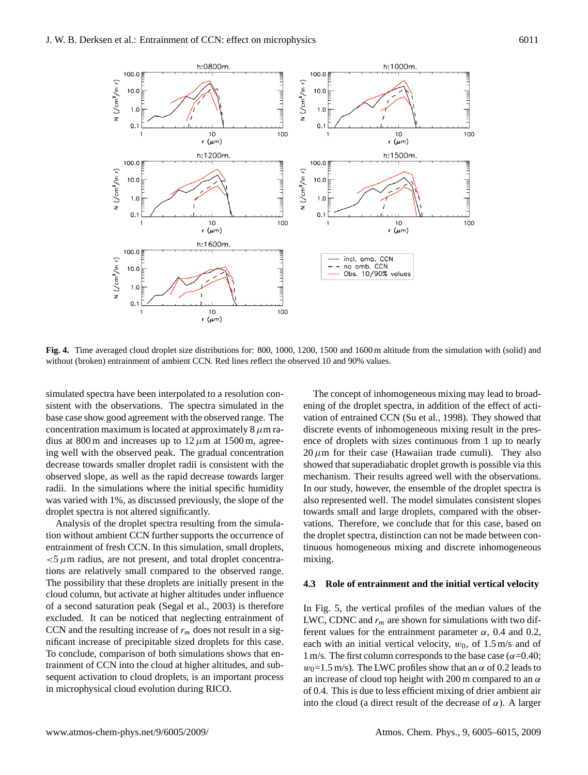

<span id="page-6-0"></span>**Fig. 4.** Time averaged cloud droplet size distributions for: 800, 1000, 1200, 1500 and 1600 m altitude from the simulation with (solid) and without (broken) entrainment of ambient CCN. Red lines reflect the observed 10 and 90% values.

simulated spectra have been interpolated to a resolution consistent with the observations. The spectra simulated in the base case show good agreement with the observed range. The concentration maximum is located at approximately  $8 \mu$ m radius at 800 m and increases up to  $12 \mu$ m at 1500 m, agreeing well with the observed peak. The gradual concentration decrease towards smaller droplet radii is consistent with the observed slope, as well as the rapid decrease towards larger radii. In the simulations where the initial specific humidity was varied with 1%, as discussed previously, the slope of the droplet spectra is not altered significantly.

Analysis of the droplet spectra resulting from the simulation without ambient CCN further supports the occurrence of entrainment of fresh CCN. In this simulation, small droplets,  $<$  5  $\mu$ m radius, are not present, and total droplet concentrations are relatively small compared to the observed range. The possibility that these droplets are initially present in the cloud column, but activate at higher altitudes under influence of a second saturation peak [\(Segal et al.,](#page-10-22) [2003\)](#page-10-22) is therefore excluded. It can be noticed that neglecting entrainment of CCN and the resulting increase of  $r<sub>m</sub>$  does not result in a significant increase of precipitable sized droplets for this case. To conclude, comparison of both simulations shows that entrainment of CCN into the cloud at higher altitudes, and subsequent activation to cloud droplets, is an important process in microphysical cloud evolution during RICO.

The concept of inhomogeneous mixing may lead to broadening of the droplet spectra, in addition of the effect of activation of entrained CCN [\(Su et al.,](#page-10-10) [1998\)](#page-10-10). They showed that discrete events of inhomogeneous mixing result in the presence of droplets with sizes continuous from 1 up to nearly  $20 \mu$ m for their case (Hawaiian trade cumuli). They also showed that superadiabatic droplet growth is possible via this mechanism. Their results agreed well with the observations. In our study, however, the ensemble of the droplet spectra is also represented well. The model simulates consistent slopes towards small and large droplets, compared with the observations. Therefore, we conclude that for this case, based on the droplet spectra, distinction can not be made between continuous homogeneous mixing and discrete inhomogeneous mixing.

#### **4.3 Role of entrainment and the initial vertical velocity**

In Fig. [5,](#page-7-0) the vertical profiles of the median values of the LWC, CDNC and  $r<sub>m</sub>$  are shown for simulations with two different values for the entrainment parameter  $\alpha$ , 0.4 and 0.2, each with an initial vertical velocity,  $w_0$ , of 1.5 m/s and of 1 m/s. The first column corresponds to the base case ( $\alpha$ =0.40;  $w_0$ =1.5 m/s). The LWC profiles show that an  $\alpha$  of 0.2 leads to an increase of cloud top height with 200 m compared to an  $\alpha$ of 0.4. This is due to less efficient mixing of drier ambient air into the cloud (a direct result of the decrease of  $\alpha$ ). A larger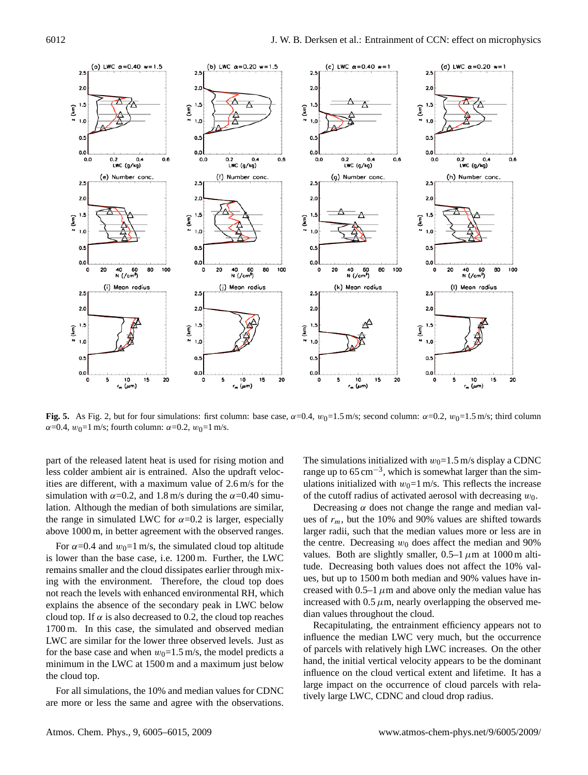

<span id="page-7-0"></span>**Fig. 5.** As Fig. [2,](#page-4-1) but for four simulations: first column: base case,  $\alpha = 0.4$ ,  $w_0 = 1.5$  m/s; second column:  $\alpha = 0.2$ ,  $w_0 = 1.5$  m/s; third column  $\alpha$ =0.4,  $w_0$ =1 m/s; fourth column:  $\alpha$ =0.2,  $w_0$ =1 m/s.

part of the released latent heat is used for rising motion and less colder ambient air is entrained. Also the updraft velocities are different, with a maximum value of 2.6 m/s for the simulation with  $\alpha$ =0.2, and 1.8 m/s during the  $\alpha$ =0.40 simulation. Although the median of both simulations are similar, the range in simulated LWC for  $\alpha$ =0.2 is larger, especially above 1000 m, in better agreement with the observed ranges.

For  $\alpha$ =0.4 and  $w_0$ =1 m/s, the simulated cloud top altitude is lower than the base case, i.e. 1200 m. Further, the LWC remains smaller and the cloud dissipates earlier through mixing with the environment. Therefore, the cloud top does not reach the levels with enhanced environmental RH, which explains the absence of the secondary peak in LWC below cloud top. If  $\alpha$  is also decreased to 0.2, the cloud top reaches 1700 m. In this case, the simulated and observed median LWC are similar for the lower three observed levels. Just as for the base case and when  $w_0=1.5$  m/s, the model predicts a minimum in the LWC at 1500 m and a maximum just below the cloud top.

For all simulations, the 10% and median values for CDNC are more or less the same and agree with the observations. The simulations initialized with  $w_0$ =1.5 m/s display a CDNC range up to  $65 \text{ cm}^{-3}$ , which is somewhat larger than the simulations initialized with  $w_0=1$  m/s. This reflects the increase of the cutoff radius of activated aerosol with decreasing  $w_0$ .

Decreasing  $\alpha$  does not change the range and median values of  $r_m$ , but the 10% and 90% values are shifted towards larger radii, such that the median values more or less are in the centre. Decreasing  $w_0$  does affect the median and 90% values. Both are slightly smaller,  $0.5-1 \mu m$  at 1000 m altitude. Decreasing both values does not affect the 10% values, but up to 1500 m both median and 90% values have increased with  $0.5-1 \mu m$  and above only the median value has increased with  $0.5 \mu$ m, nearly overlapping the observed median values throughout the cloud.

Recapitulating, the entrainment efficiency appears not to influence the median LWC very much, but the occurrence of parcels with relatively high LWC increases. On the other hand, the initial vertical velocity appears to be the dominant influence on the cloud vertical extent and lifetime. It has a large impact on the occurrence of cloud parcels with relatively large LWC, CDNC and cloud drop radius.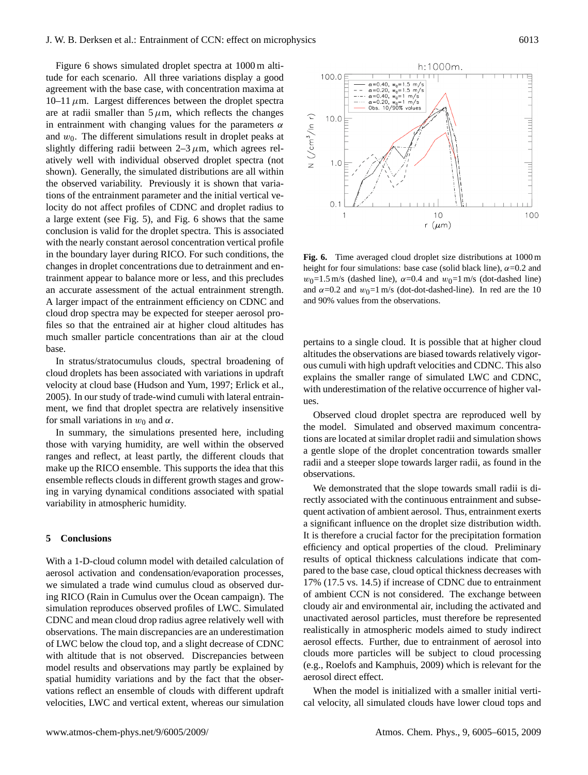Figure [6](#page-8-1) shows simulated droplet spectra at 1000 m altitude for each scenario. All three variations display a good agreement with the base case, with concentration maxima at 10–11 $\mu$ m. Largest differences between the droplet spectra are at radii smaller than  $5 \mu m$ , which reflects the changes in entrainment with changing values for the parameters  $\alpha$ and  $w_0$ . The different simulations result in droplet peaks at slightly differing radii between  $2-3 \mu m$ , which agrees relatively well with individual observed droplet spectra (not shown). Generally, the simulated distributions are all within the observed variability. Previously it is shown that variations of the entrainment parameter and the initial vertical velocity do not affect profiles of CDNC and droplet radius to a large extent (see Fig. [5\)](#page-7-0), and Fig. [6](#page-8-1) shows that the same conclusion is valid for the droplet spectra. This is associated with the nearly constant aerosol concentration vertical profile in the boundary layer during RICO. For such conditions, the changes in droplet concentrations due to detrainment and entrainment appear to balance more or less, and this precludes an accurate assessment of the actual entrainment strength. A larger impact of the entrainment efficiency on CDNC and cloud drop spectra may be expected for steeper aerosol profiles so that the entrained air at higher cloud altitudes has much smaller particle concentrations than air at the cloud base.

In stratus/stratocumulus clouds, spectral broadening of cloud droplets has been associated with variations in updraft velocity at cloud base [\(Hudson and Yum,](#page-9-24) [1997;](#page-9-24) [Erlick et al.,](#page-9-14) [2005\)](#page-9-14). In our study of trade-wind cumuli with lateral entrainment, we find that droplet spectra are relatively insensitive for small variations in  $w_0$  and  $\alpha$ .

In summary, the simulations presented here, including those with varying humidity, are well within the observed ranges and reflect, at least partly, the different clouds that make up the RICO ensemble. This supports the idea that this ensemble reflects clouds in different growth stages and growing in varying dynamical conditions associated with spatial variability in atmospheric humidity.

#### <span id="page-8-0"></span>**5 Conclusions**

With a 1-D-cloud column model with detailed calculation of aerosol activation and condensation/evaporation processes, we simulated a trade wind cumulus cloud as observed during RICO (Rain in Cumulus over the Ocean campaign). The simulation reproduces observed profiles of LWC. Simulated CDNC and mean cloud drop radius agree relatively well with observations. The main discrepancies are an underestimation of LWC below the cloud top, and a slight decrease of CDNC with altitude that is not observed. Discrepancies between model results and observations may partly be explained by spatial humidity variations and by the fact that the observations reflect an ensemble of clouds with different updraft velocities, LWC and vertical extent, whereas our simulation



<span id="page-8-1"></span>**Fig. 6.** Time averaged cloud droplet size distributions at 1000 m height for four simulations: base case (solid black line),  $\alpha$ =0.2 and  $w_0$ =1.5 m/s (dashed line),  $\alpha$ =0.4 and  $w_0$ =1 m/s (dot-dashed line) and  $\alpha$ =0.2 and  $w_0$ =1 m/s (dot-dot-dashed-line). In red are the 10 and 90% values from the observations.

pertains to a single cloud. It is possible that at higher cloud altitudes the observations are biased towards relatively vigorous cumuli with high updraft velocities and CDNC. This also explains the smaller range of simulated LWC and CDNC, with underestimation of the relative occurrence of higher values.

Observed cloud droplet spectra are reproduced well by the model. Simulated and observed maximum concentrations are located at similar droplet radii and simulation shows a gentle slope of the droplet concentration towards smaller radii and a steeper slope towards larger radii, as found in the observations.

We demonstrated that the slope towards small radii is directly associated with the continuous entrainment and subsequent activation of ambient aerosol. Thus, entrainment exerts a significant influence on the droplet size distribution width. It is therefore a crucial factor for the precipitation formation efficiency and optical properties of the cloud. Preliminary results of optical thickness calculations indicate that compared to the base case, cloud optical thickness decreases with 17% (17.5 vs. 14.5) if increase of CDNC due to entrainment of ambient CCN is not considered. The exchange between cloudy air and environmental air, including the activated and unactivated aerosol particles, must therefore be represented realistically in atmospheric models aimed to study indirect aerosol effects. Further, due to entrainment of aerosol into clouds more particles will be subject to cloud processing (e.g., [Roelofs and Kamphuis,](#page-10-3) [2009\)](#page-10-3) which is relevant for the aerosol direct effect.

When the model is initialized with a smaller initial vertical velocity, all simulated clouds have lower cloud tops and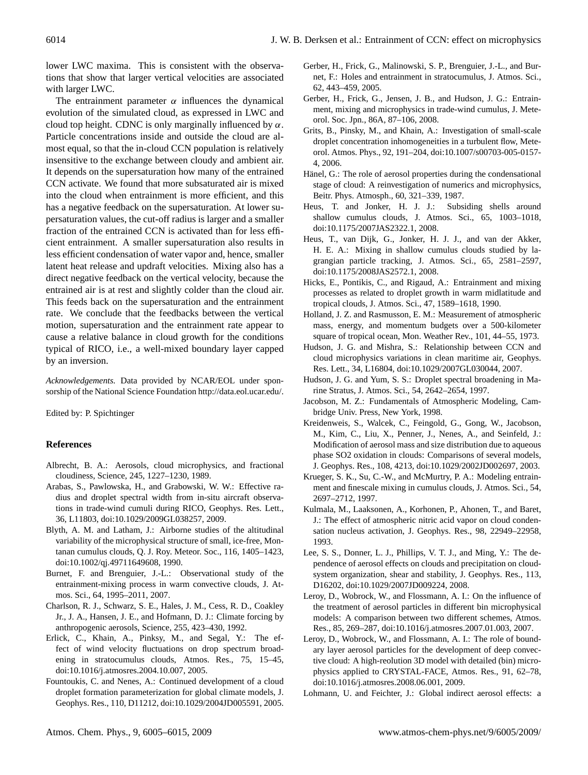lower LWC maxima. This is consistent with the observations that show that larger vertical velocities are associated with larger LWC.

The entrainment parameter  $\alpha$  influences the dynamical evolution of the simulated cloud, as expressed in LWC and cloud top height. CDNC is only marginally influenced by  $\alpha$ . Particle concentrations inside and outside the cloud are almost equal, so that the in-cloud CCN population is relatively insensitive to the exchange between cloudy and ambient air. It depends on the supersaturation how many of the entrained CCN activate. We found that more subsaturated air is mixed into the cloud when entrainment is more efficient, and this has a negative feedback on the supersaturation. At lower supersaturation values, the cut-off radius is larger and a smaller fraction of the entrained CCN is activated than for less efficient entrainment. A smaller supersaturation also results in less efficient condensation of water vapor and, hence, smaller latent heat release and updraft velocities. Mixing also has a direct negative feedback on the vertical velocity, because the entrained air is at rest and slightly colder than the cloud air. This feeds back on the supersaturation and the entrainment rate. We conclude that the feedbacks between the vertical motion, supersaturation and the entrainment rate appear to cause a relative balance in cloud growth for the conditions typical of RICO, i.e., a well-mixed boundary layer capped by an inversion.

*Acknowledgements.* Data provided by NCAR/EOL under sponsorship of the National Science Foundation [http://data.eol.ucar.edu/.](http://data.eol.ucar.edu/)

Edited by: P. Spichtinger

#### **References**

- <span id="page-9-1"></span>Albrecht, B. A.: Aerosols, cloud microphysics, and fractional cloudiness, Science, 245, 1227–1230, 1989.
- <span id="page-9-23"></span>Arabas, S., Pawlowska, H., and Grabowski, W. W.: Effective radius and droplet spectral width from in-situ aircraft observations in trade-wind cumuli during RICO, Geophys. Res. Lett., 36, L11803, doi:10.1029/2009GL038257, 2009.
- <span id="page-9-10"></span>Blyth, A. M. and Latham, J.: Airborne studies of the altitudinal variability of the microphysical structure of small, ice-free, Montanan cumulus clouds, Q. J. Roy. Meteor. Soc., 116, 1405–1423, doi:10.1002/qj.49711649608, 1990.
- <span id="page-9-11"></span>Burnet, F. and Brenguier, J.-L.: Observational study of the entrainment-mixing process in warm convective clouds, J. Atmos. Sci., 64, 1995–2011, 2007.
- <span id="page-9-0"></span>Charlson, R. J., Schwarz, S. E., Hales, J. M., Cess, R. D., Coakley Jr., J. A., Hansen, J. E., and Hofmann, D. J.: Climate forcing by anthropogenic aerosols, Science, 255, 423–430, 1992.
- <span id="page-9-14"></span>Erlick, C., Khain, A., Pinksy, M., and Segal, Y.: The effect of wind velocity fluctuations on drop spectrum broadening in stratocumulus clouds, Atmos. Res., 75, 15–45, doi:10.1016/j.atmosres.2004.10.007, 2005.
- <span id="page-9-4"></span>Fountoukis, C. and Nenes, A.: Continued development of a cloud droplet formation parameterization for global climate models, J. Geophys. Res., 110, D11212, doi:10.1029/2004JD005591, 2005.
- <span id="page-9-6"></span>Gerber, H., Frick, G., Malinowski, S. P., Brenguier, J.-L., and Burnet, F.: Holes and entrainment in stratocumulus, J. Atmos. Sci., 62, 443–459, 2005.
- <span id="page-9-17"></span>Gerber, H., Frick, G., Jensen, J. B., and Hudson, J. G.: Entrainment, mixing and microphysics in trade-wind cumulus, J. Meteorol. Soc. Jpn., 86A, 87–106, 2008.
- <span id="page-9-21"></span>Grits, B., Pinsky, M., and Khain, A.: Investigation of small-scale droplet concentration inhomogeneities in a turbulent flow, Meteorol. Atmos. Phys., 92, 191–204, doi:10.1007/s00703-005-0157- 4, 2006.
- <span id="page-9-3"></span>Hänel, G.: The role of aerosol properties during the condensational stage of cloud: A reinvestigation of numerics and microphysics, Beitr. Phys. Atmosph., 60, 321–339, 1987.
- <span id="page-9-20"></span>Heus, T. and Jonker, H. J. J.: Subsiding shells around shallow cumulus clouds, J. Atmos. Sci., 65, 1003–1018, doi:10.1175/2007JAS2322.1, 2008.
- <span id="page-9-8"></span>Heus, T., van Dijk, G., Jonker, H. J. J., and van der Akker, H. E. A.: Mixing in shallow cumulus clouds studied by lagrangian particle tracking, J. Atmos. Sci., 65, 2581–2597, doi:10.1175/2008JAS2572.1, 2008.
- <span id="page-9-7"></span>Hicks, E., Pontikis, C., and Rigaud, A.: Entrainment and mixing processes as related to droplet growth in warm midlatitude and tropical clouds, J. Atmos. Sci., 47, 1589–1618, 1990.
- <span id="page-9-9"></span>Holland, J. Z. and Rasmusson, E. M.: Measurement of atmospheric mass, energy, and momentum budgets over a 500-kilometer square of tropical ocean, Mon. Weather Rev., 101, 44–55, 1973.
- <span id="page-9-19"></span>Hudson, J. G. and Mishra, S.: Relationship between CCN and cloud microphysics variations in clean maritime air, Geophys. Res. Lett., 34, L16804, doi:10.1029/2007GL030044, 2007.
- <span id="page-9-24"></span>Hudson, J. G. and Yum, S. S.: Droplet spectral broadening in Marine Stratus, J. Atmos. Sci., 54, 2642–2654, 1997.
- <span id="page-9-18"></span>Jacobson, M. Z.: Fundamentals of Atmospheric Modeling, Cambridge Univ. Press, New York, 1998.
- <span id="page-9-16"></span>Kreidenweis, S., Walcek, C., Feingold, G., Gong, W., Jacobson, M., Kim, C., Liu, X., Penner, J., Nenes, A., and Seinfeld, J.: Modification of aerosol mass and size distribution due to aqueous phase SO2 oxidation in clouds: Comparisons of several models, J. Geophys. Res., 108, 4213, doi:10.1029/2002JD002697, 2003.
- <span id="page-9-22"></span>Krueger, S. K., Su, C.-W., and McMurtry, P. A.: Modeling entrainment and finescale mixing in cumulus clouds, J. Atmos. Sci., 54, 2697–2712, 1997.
- <span id="page-9-5"></span>Kulmala, M., Laaksonen, A., Korhonen, P., Ahonen, T., and Baret, J.: The effect of atmospheric nitric acid vapor on cloud condensation nucleus activation, J. Geophys. Res., 98, 22949–22958, 1993.
- <span id="page-9-15"></span>Lee, S. S., Donner, L. J., Phillips, V. T. J., and Ming, Y.: The dependence of aerosol effects on clouds and precipitation on cloudsystem organization, shear and stability, J. Geophys. Res., 113, D16202, doi:10.1029/2007JD009224, 2008.
- <span id="page-9-12"></span>Leroy, D., Wobrock, W., and Flossmann, A. I.: On the influence of the treatment of aerosol particles in different bin microphysical models: A comparison between two different schemes, Atmos. Res., 85, 269–287, doi:10.1016/j.atmosres.2007.01.003, 2007.
- <span id="page-9-13"></span>Leroy, D., Wobrock, W., and Flossmann, A. I.: The role of boundary layer aerosol particles for the development of deep convective cloud: A high-reolution 3D model with detailed (bin) microphysics applied to CRYSTAL-FACE, Atmos. Res., 91, 62–78, doi:10.1016/j.atmosres.2008.06.001, 2009.
- <span id="page-9-2"></span>Lohmann, U. and Feichter, J.: Global indirect aerosol effects: a